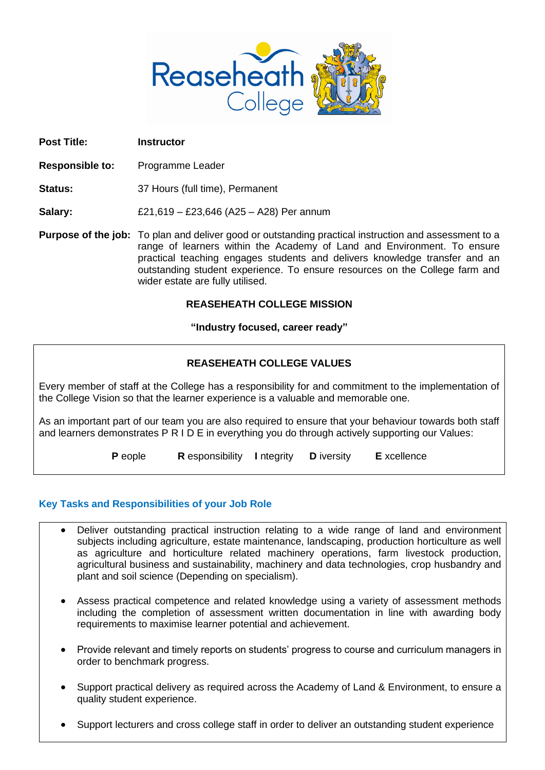

**Post Title: Instructor Responsible to:** Programme Leader **Status:** 37 Hours (full time), Permanent **Salary:** £21,619 – £23,646 (A25 – A28) Per annum **Purpose of the job:** To plan and deliver good or outstanding practical instruction and assessment to a range of learners within the Academy of Land and Environment. To ensure practical teaching engages students and delivers knowledge transfer and an outstanding student experience. To ensure resources on the College farm and wider estate are fully utilised.

#### **REASEHEATH COLLEGE MISSION**

**"Industry focused, career ready"**

### **REASEHEATH COLLEGE VALUES**

Every member of staff at the College has a responsibility for and commitment to the implementation of the College Vision so that the learner experience is a valuable and memorable one.

As an important part of our team you are also required to ensure that your behaviour towards both staff and learners demonstrates P R I D E in everything you do through actively supporting our Values:

**P** eople **R** esponsibility **I** ntegrity **D** iversity **E** xcellence

#### **Key Tasks and Responsibilities of your Job Role**

- Deliver outstanding practical instruction relating to a wide range of land and environment subjects including agriculture, estate maintenance, landscaping, production horticulture as well as agriculture and horticulture related machinery operations, farm livestock production, agricultural business and sustainability, machinery and data technologies, crop husbandry and plant and soil science (Depending on specialism).
- Assess practical competence and related knowledge using a variety of assessment methods including the completion of assessment written documentation in line with awarding body requirements to maximise learner potential and achievement.
- Provide relevant and timely reports on students' progress to course and curriculum managers in order to benchmark progress.
- Support practical delivery as required across the Academy of Land & Environment, to ensure a quality student experience.
- Support lecturers and cross college staff in order to deliver an outstanding student experience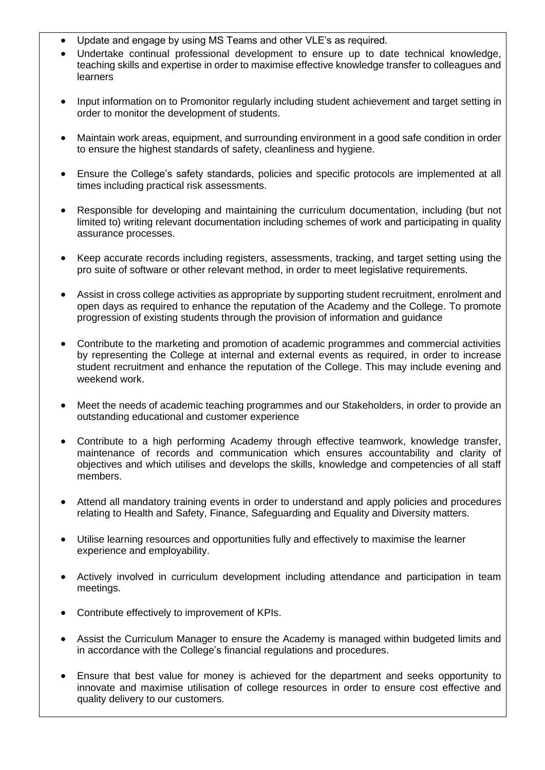- Update and engage by using MS Teams and other VLE's as required.
- Undertake continual professional development to ensure up to date technical knowledge, teaching skills and expertise in order to maximise effective knowledge transfer to colleagues and learners
- Input information on to Promonitor regularly including student achievement and target setting in order to monitor the development of students.
- Maintain work areas, equipment, and surrounding environment in a good safe condition in order to ensure the highest standards of safety, cleanliness and hygiene.
- Ensure the College's safety standards, policies and specific protocols are implemented at all times including practical risk assessments.
- Responsible for developing and maintaining the curriculum documentation, including (but not limited to) writing relevant documentation including schemes of work and participating in quality assurance processes.
- Keep accurate records including registers, assessments, tracking, and target setting using the pro suite of software or other relevant method, in order to meet legislative requirements.
- Assist in cross college activities as appropriate by supporting student recruitment, enrolment and open days as required to enhance the reputation of the Academy and the College. To promote progression of existing students through the provision of information and guidance
- Contribute to the marketing and promotion of academic programmes and commercial activities by representing the College at internal and external events as required, in order to increase student recruitment and enhance the reputation of the College. This may include evening and weekend work.
- Meet the needs of academic teaching programmes and our Stakeholders, in order to provide an outstanding educational and customer experience
- Contribute to a high performing Academy through effective teamwork, knowledge transfer, maintenance of records and communication which ensures accountability and clarity of objectives and which utilises and develops the skills, knowledge and competencies of all staff members.
- Attend all mandatory training events in order to understand and apply policies and procedures relating to Health and Safety, Finance, Safeguarding and Equality and Diversity matters.
- Utilise learning resources and opportunities fully and effectively to maximise the learner experience and employability.
- Actively involved in curriculum development including attendance and participation in team meetings.
- Contribute effectively to improvement of KPIs.
- Assist the Curriculum Manager to ensure the Academy is managed within budgeted limits and in accordance with the College's financial regulations and procedures.
- Ensure that best value for money is achieved for the department and seeks opportunity to innovate and maximise utilisation of college resources in order to ensure cost effective and quality delivery to our customers.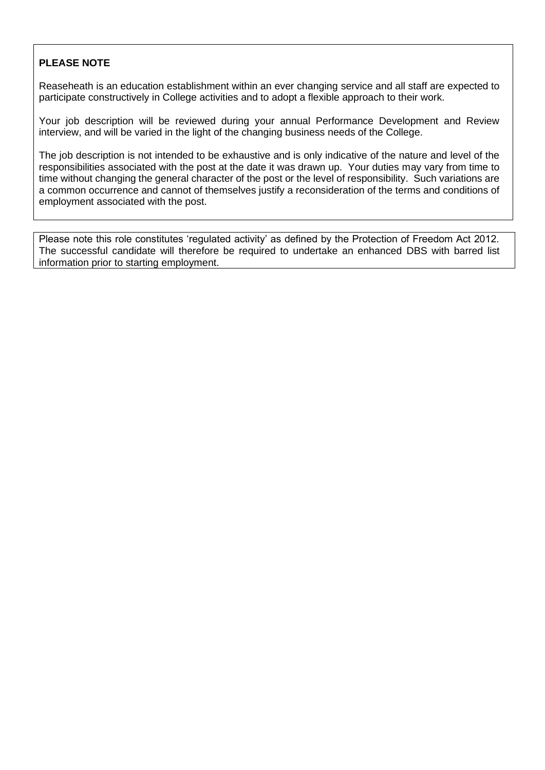## **PLEASE NOTE**

Reaseheath is an education establishment within an ever changing service and all staff are expected to participate constructively in College activities and to adopt a flexible approach to their work.

Your job description will be reviewed during your annual Performance Development and Review interview, and will be varied in the light of the changing business needs of the College.

The job description is not intended to be exhaustive and is only indicative of the nature and level of the responsibilities associated with the post at the date it was drawn up. Your duties may vary from time to time without changing the general character of the post or the level of responsibility. Such variations are a common occurrence and cannot of themselves justify a reconsideration of the terms and conditions of employment associated with the post.

Please note this role constitutes 'regulated activity' as defined by the Protection of Freedom Act 2012. The successful candidate will therefore be required to undertake an enhanced DBS with barred list information prior to starting employment.